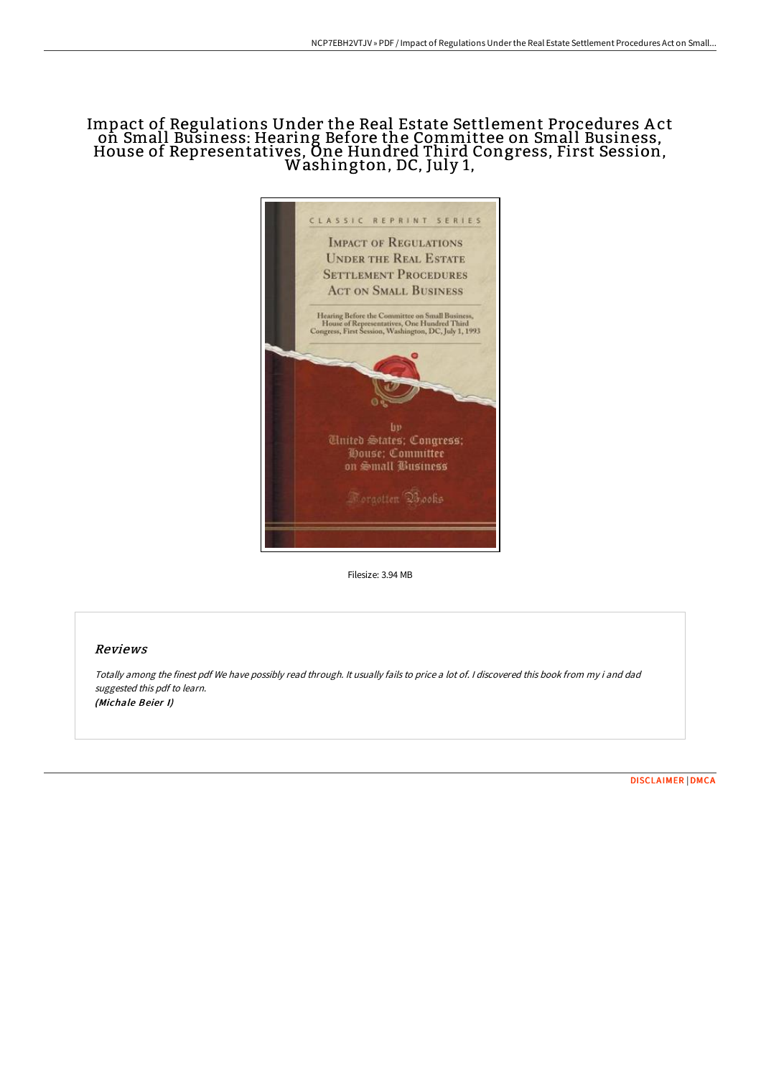## Impact of Regulations Under the Real Estate Settlement Procedures A ct on Small Business: Hearing Before the Committee on Small Business, House of Representatives, One Hundred Third Congress, First Session, Washington, DC, July 1,



Filesize: 3.94 MB

## Reviews

Totally among the finest pdf We have possibly read through. It usually fails to price <sup>a</sup> lot of. <sup>I</sup> discovered this book from my i and dad suggested this pdf to learn. (Michale Beier I)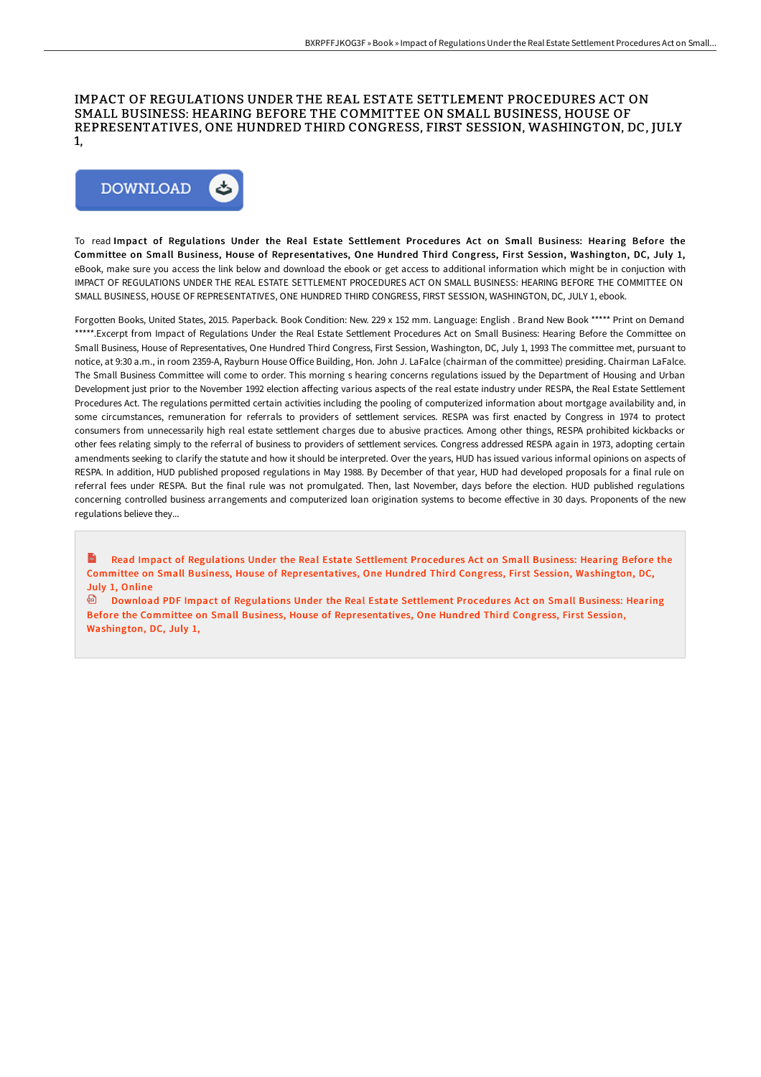## IMPACT OF REGULATIONS UNDER THE REAL ESTATE SETTLEMENT PROCEDURES ACT ON SMALL BUSINESS: HEARING BEFORE THE COMMITTEE ON SMALL BUSINESS, HOUSE OF REPRESENTATIVES, ONE HUNDRED THIRD CONGRESS, FIRST SESSION, WASHINGTON, DC, JULY 1,



To read Impact of Regulations Under the Real Estate Settlement Procedures Act on Small Business: Hearing Before the Committee on Small Business, House of Representatives, One Hundred Third Congress, First Session, Washington, DC, July 1, eBook, make sure you access the link below and download the ebook or get access to additional information which might be in conjuction with IMPACT OF REGULATIONS UNDER THE REAL ESTATE SETTLEMENT PROCEDURES ACT ON SMALL BUSINESS: HEARING BEFORE THE COMMITTEE ON SMALL BUSINESS, HOUSE OF REPRESENTATIVES, ONE HUNDRED THIRD CONGRESS, FIRST SESSION, WASHINGTON, DC, JULY 1, ebook.

Forgotten Books, United States, 2015. Paperback. Book Condition: New. 229 x 152 mm. Language: English . Brand New Book \*\*\*\*\* Print on Demand \*\*\*\*\*.Excerpt from Impact of Regulations Under the Real Estate Settlement Procedures Act on Small Business: Hearing Before the Committee on Small Business, House of Representatives, One Hundred Third Congress, First Session, Washington, DC, July 1, 1993 The committee met, pursuant to notice, at 9:30 a.m., in room 2359-A, Rayburn House Office Building, Hon. John J. LaFalce (chairman of the committee) presiding. Chairman LaFalce. The Small Business Committee will come to order. This morning s hearing concerns regulations issued by the Department of Housing and Urban Development just prior to the November 1992 election affecting various aspects of the real estate industry under RESPA, the Real Estate Settlement Procedures Act. The regulations permitted certain activities including the pooling of computerized information about mortgage availability and, in some circumstances, remuneration for referrals to providers of settlement services. RESPA was first enacted by Congress in 1974 to protect consumers from unnecessarily high real estate settlement charges due to abusive practices. Among other things, RESPA prohibited kickbacks or other fees relating simply to the referral of business to providers of settlement services. Congress addressed RESPA again in 1973, adopting certain amendments seeking to clarify the statute and how it should be interpreted. Over the years, HUD has issued various informal opinions on aspects of RESPA. In addition, HUD published proposed regulations in May 1988. By December of that year, HUD had developed proposals for a final rule on referral fees under RESPA. But the final rule was not promulgated. Then, last November, days before the election. HUD published regulations concerning controlled business arrangements and computerized loan origination systems to become effective in 30 days. Proponents of the new regulations believe they...

 $\mathbf{m}$ Read Impact of Regulations Under the Real Estate Settlement Procedures Act on Small Business: Hearing Before the Committee on Small Business, House of [Representatives,](http://bookera.tech/impact-of-regulations-under-the-real-estate-sett.html) One Hundred Third Congress, First Session, Washington, DC, July 1, Online

Download PDF Impact of Regulations Under the Real Estate Settlement Procedures Act on Small Business: Hearing Before the Committee on Small Business, House of [Representatives,](http://bookera.tech/impact-of-regulations-under-the-real-estate-sett.html) One Hundred Third Congress, First Session, Washington, DC, July 1,